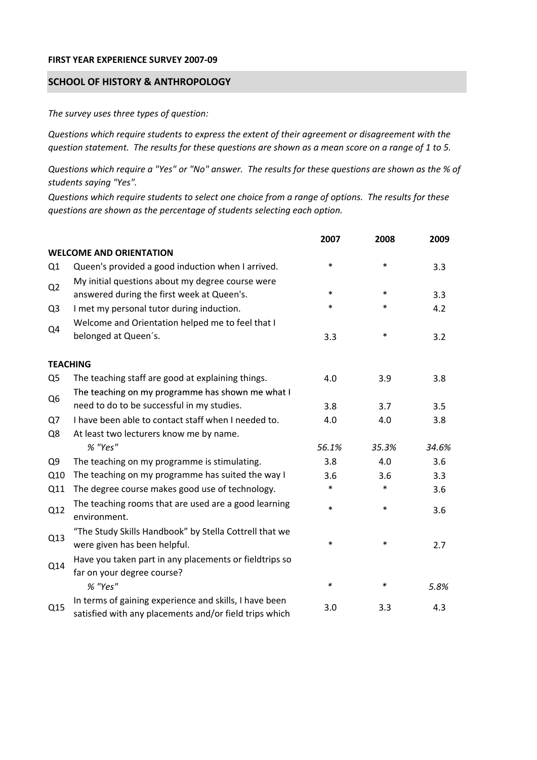## **FIRST YEAR EXPERIENCE SURVEY 2007‐09**

## **SCHOOL OF HISTORY & ANTHROPOLOGY**

*The survey uses three types of question:*

*Questions which require students to express the extent of their agreement or disagreement with the* question statement. The results for these questions are shown as a mean score on a range of 1 to 5.

Questions which require a "Yes" or "No" answer. The results for these questions are shown as the % of *students saying "Yes".*

Questions which require students to select one choice from a range of options. The results for these *questions are shown as the percentage of students selecting each option.*

|                |                                                                                                                  | 2007   | 2008   | 2009  |
|----------------|------------------------------------------------------------------------------------------------------------------|--------|--------|-------|
|                | <b>WELCOME AND ORIENTATION</b>                                                                                   |        |        |       |
| Q1             | Queen's provided a good induction when I arrived.                                                                | $\ast$ | $\ast$ | 3.3   |
| Q2             | My initial questions about my degree course were<br>answered during the first week at Queen's.                   | $\ast$ | $\ast$ | 3.3   |
| Q <sub>3</sub> | I met my personal tutor during induction.                                                                        | $\ast$ | $\ast$ | 4.2   |
| Q4             | Welcome and Orientation helped me to feel that I                                                                 |        |        |       |
|                | belonged at Queen's.                                                                                             | 3.3    | $\ast$ | 3.2   |
|                | <b>TEACHING</b>                                                                                                  |        |        |       |
| Q <sub>5</sub> | The teaching staff are good at explaining things.                                                                | 4.0    | 3.9    | 3.8   |
|                | The teaching on my programme has shown me what I                                                                 |        |        |       |
| Q <sub>6</sub> | need to do to be successful in my studies.                                                                       | 3.8    | 3.7    | 3.5   |
| Q7             | I have been able to contact staff when I needed to.                                                              | 4.0    | 4.0    | 3.8   |
| Q8             | At least two lecturers know me by name.                                                                          |        |        |       |
|                | % "Yes"                                                                                                          | 56.1%  | 35.3%  | 34.6% |
| Q <sub>9</sub> | The teaching on my programme is stimulating.                                                                     | 3.8    | 4.0    | 3.6   |
| Q10            | The teaching on my programme has suited the way I                                                                | 3.6    | 3.6    | 3.3   |
| Q11            | The degree course makes good use of technology.                                                                  | $\ast$ | $\ast$ | 3.6   |
| Q12            | The teaching rooms that are used are a good learning<br>environment.                                             | $\ast$ | $\ast$ | 3.6   |
| Q13            | "The Study Skills Handbook" by Stella Cottrell that we<br>were given has been helpful.                           | *      | $\ast$ | 2.7   |
| Q14            | Have you taken part in any placements or fieldtrips so<br>far on your degree course?                             |        |        |       |
|                | % "Yes"                                                                                                          | $\ast$ | $\ast$ | 5.8%  |
| Q15            | In terms of gaining experience and skills, I have been<br>satisfied with any placements and/or field trips which | 3.0    | 3.3    | 4.3   |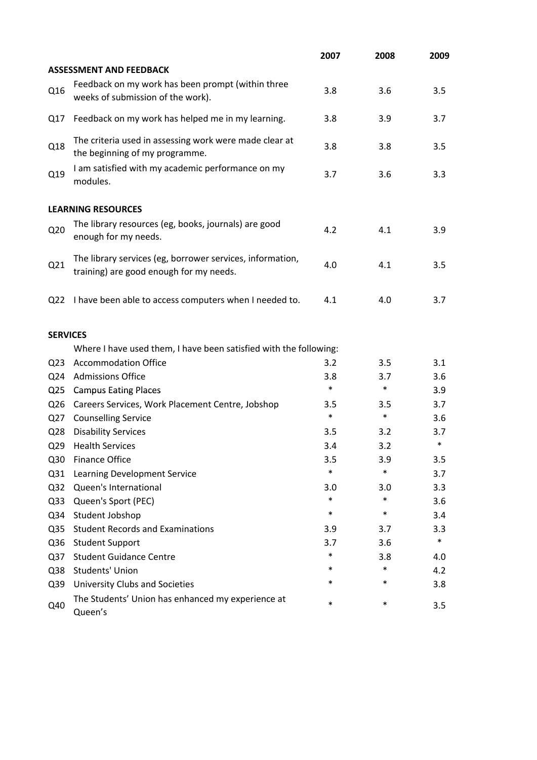|                 |                                                                                                      | 2007   | 2008   | 2009   |
|-----------------|------------------------------------------------------------------------------------------------------|--------|--------|--------|
|                 | <b>ASSESSMENT AND FEEDBACK</b>                                                                       |        |        |        |
| Q16             | Feedback on my work has been prompt (within three<br>weeks of submission of the work).               | 3.8    | 3.6    | 3.5    |
| Q17             | Feedback on my work has helped me in my learning.                                                    | 3.8    | 3.9    | 3.7    |
| Q18             | The criteria used in assessing work were made clear at<br>the beginning of my programme.             | 3.8    | 3.8    | 3.5    |
| Q19             | I am satisfied with my academic performance on my<br>modules.                                        | 3.7    | 3.6    | 3.3    |
|                 | <b>LEARNING RESOURCES</b>                                                                            |        |        |        |
| Q <sub>20</sub> | The library resources (eg, books, journals) are good<br>enough for my needs.                         | 4.2    | 4.1    | 3.9    |
| Q21             | The library services (eg, borrower services, information,<br>training) are good enough for my needs. | 4.0    | 4.1    | 3.5    |
| Q <sub>22</sub> | I have been able to access computers when I needed to.                                               | 4.1    | 4.0    | 3.7    |
| <b>SERVICES</b> |                                                                                                      |        |        |        |
|                 | Where I have used them, I have been satisfied with the following:                                    |        |        |        |
| Q <sub>23</sub> | <b>Accommodation Office</b>                                                                          | 3.2    | 3.5    | 3.1    |
| Q24             | <b>Admissions Office</b>                                                                             | 3.8    | 3.7    | 3.6    |
| Q <sub>25</sub> | <b>Campus Eating Places</b>                                                                          | $\ast$ | $\ast$ | 3.9    |
| Q <sub>26</sub> | Careers Services, Work Placement Centre, Jobshop                                                     | 3.5    | 3.5    | 3.7    |
| Q27             | <b>Counselling Service</b>                                                                           | $\ast$ | $\ast$ | 3.6    |
| Q <sub>28</sub> | <b>Disability Services</b>                                                                           | 3.5    | 3.2    | 3.7    |
| Q <sub>29</sub> | <b>Health Services</b>                                                                               | 3.4    | 3.2    | $\ast$ |
| Q30             | <b>Finance Office</b>                                                                                | 3.5    | 3.9    | 3.5    |
| Q <sub>31</sub> | Learning Development Service                                                                         | $\ast$ | $\ast$ | 3.7    |
| Q <sub>32</sub> | Queen's International                                                                                | 3.0    | 3.0    | 3.3    |
| Q <sub>33</sub> | Queen's Sport (PEC)                                                                                  | $\ast$ | $\ast$ | 3.6    |
| Q34             | Student Jobshop                                                                                      | $\ast$ | $\ast$ | 3.4    |
| Q <sub>35</sub> | <b>Student Records and Examinations</b>                                                              | 3.9    | 3.7    | 3.3    |
| Q36             | <b>Student Support</b>                                                                               | 3.7    | 3.6    | $\ast$ |
| Q <sub>37</sub> | <b>Student Guidance Centre</b>                                                                       | $\ast$ | 3.8    | 4.0    |
| Q38             | <b>Students' Union</b>                                                                               | *      | $\ast$ | 4.2    |
| Q39             | University Clubs and Societies                                                                       | *      | $\ast$ | 3.8    |
| Q40             | The Students' Union has enhanced my experience at<br>Queen's                                         | $\ast$ | $\ast$ | 3.5    |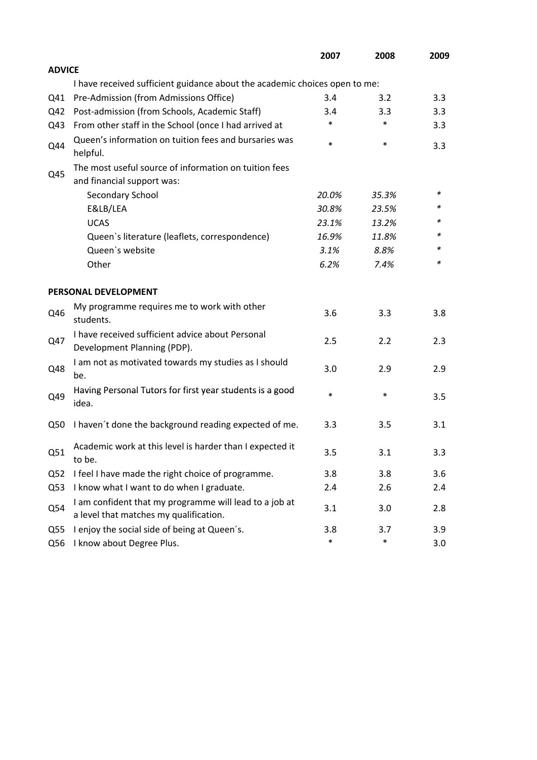|                 |                                                                                                  | 2007   | 2008   | 2009 |
|-----------------|--------------------------------------------------------------------------------------------------|--------|--------|------|
| <b>ADVICE</b>   |                                                                                                  |        |        |      |
|                 | I have received sufficient guidance about the academic choices open to me:                       |        |        |      |
| Q41             | Pre-Admission (from Admissions Office)                                                           | 3.4    | 3.2    | 3.3  |
| Q42             | Post-admission (from Schools, Academic Staff)                                                    | 3.4    | 3.3    | 3.3  |
| Q43             | From other staff in the School (once I had arrived at                                            | *      | $\ast$ | 3.3  |
| Q44             | Queen's information on tuition fees and bursaries was<br>helpful.                                | $\ast$ | $\ast$ | 3.3  |
|                 | The most useful source of information on tuition fees                                            |        |        |      |
| Q45             | and financial support was:                                                                       |        |        |      |
|                 | Secondary School                                                                                 | 20.0%  | 35.3%  | ∗    |
|                 | E&LB/LEA                                                                                         | 30.8%  | 23.5%  | *    |
|                 | <b>UCAS</b>                                                                                      | 23.1%  | 13.2%  |      |
|                 | Queen's literature (leaflets, correspondence)                                                    | 16.9%  | 11.8%  | *    |
|                 | Queen's website                                                                                  | 3.1%   | 8.8%   | *    |
|                 | Other                                                                                            | 6.2%   | 7.4%   | *    |
|                 | PERSONAL DEVELOPMENT                                                                             |        |        |      |
| Q46             | My programme requires me to work with other<br>students.                                         | 3.6    | 3.3    | 3.8  |
| Q47             | I have received sufficient advice about Personal<br>Development Planning (PDP).                  | 2.5    | 2.2    | 2.3  |
| Q48             | I am not as motivated towards my studies as I should<br>be.                                      | 3.0    | 2.9    | 2.9  |
| Q49             | Having Personal Tutors for first year students is a good<br>idea.                                | $\ast$ | $\ast$ | 3.5  |
| Q50             | I haven't done the background reading expected of me.                                            | 3.3    | 3.5    | 3.1  |
| Q51             | Academic work at this level is harder than I expected it<br>to be.                               | 3.5    | 3.1    | 3.3  |
| Q <sub>52</sub> | I feel I have made the right choice of programme.                                                | 3.8    | 3.8    | 3.6  |
| Q53             | I know what I want to do when I graduate.                                                        | 2.4    | 2.6    | 2.4  |
| Q54             | I am confident that my programme will lead to a job at<br>a level that matches my qualification. | 3.1    | 3.0    | 2.8  |
| Q <sub>55</sub> | I enjoy the social side of being at Queen's.                                                     | 3.8    | 3.7    | 3.9  |
| Q56             | I know about Degree Plus.                                                                        | $\ast$ | $\ast$ | 3.0  |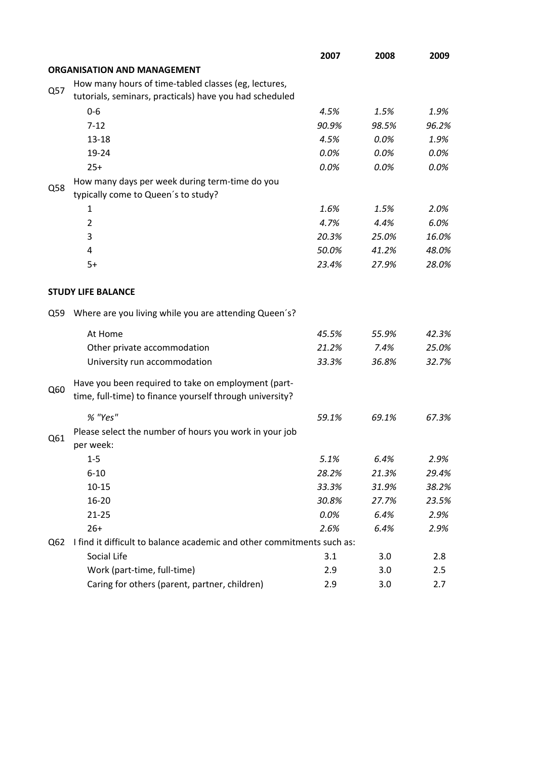|     |                                                                        | 2007  | 2008  | 2009  |
|-----|------------------------------------------------------------------------|-------|-------|-------|
|     | <b>ORGANISATION AND MANAGEMENT</b>                                     |       |       |       |
|     | How many hours of time-tabled classes (eg, lectures,                   |       |       |       |
| Q57 | tutorials, seminars, practicals) have you had scheduled                |       |       |       |
|     | $0-6$                                                                  | 4.5%  | 1.5%  | 1.9%  |
|     | $7 - 12$                                                               | 90.9% | 98.5% | 96.2% |
|     | $13 - 18$                                                              | 4.5%  | 0.0%  | 1.9%  |
|     | 19-24                                                                  | 0.0%  | 0.0%  | 0.0%  |
|     | $25+$                                                                  | 0.0%  | 0.0%  | 0.0%  |
|     | How many days per week during term-time do you                         |       |       |       |
| Q58 | typically come to Queen's to study?                                    |       |       |       |
|     | 1                                                                      | 1.6%  | 1.5%  | 2.0%  |
|     | $\overline{2}$                                                         | 4.7%  | 4.4%  | 6.0%  |
|     | 3                                                                      | 20.3% | 25.0% | 16.0% |
|     | 4                                                                      | 50.0% | 41.2% | 48.0% |
|     | $5+$                                                                   | 23.4% | 27.9% | 28.0% |
|     |                                                                        |       |       |       |
|     | <b>STUDY LIFE BALANCE</b>                                              |       |       |       |
| Q59 | Where are you living while you are attending Queen's?                  |       |       |       |
|     | At Home                                                                | 45.5% | 55.9% | 42.3% |
|     | Other private accommodation                                            | 21.2% | 7.4%  | 25.0% |
|     | University run accommodation                                           | 33.3% | 36.8% | 32.7% |
|     | Have you been required to take on employment (part-                    |       |       |       |
| Q60 | time, full-time) to finance yourself through university?               |       |       |       |
|     | % "Yes"                                                                | 59.1% | 69.1% | 67.3% |
| Q61 | Please select the number of hours you work in your job                 |       |       |       |
|     | per week:                                                              |       |       |       |
|     | $1 - 5$                                                                | 5.1%  | 6.4%  | 2.9%  |
|     | $6 - 10$                                                               | 28.2% | 21.3% | 29.4% |
|     | $10 - 15$                                                              | 33.3% | 31.9% | 38.2% |
|     | 16-20                                                                  | 30.8% | 27.7% | 23.5% |
|     | $21 - 25$                                                              | 0.0%  | 6.4%  | 2.9%  |
|     | $26+$                                                                  | 2.6%  | 6.4%  | 2.9%  |
| Q62 | I find it difficult to balance academic and other commitments such as: |       |       |       |
|     | Social Life                                                            | 3.1   | 3.0   | 2.8   |
|     | Work (part-time, full-time)                                            | 2.9   | 3.0   | 2.5   |
|     | Caring for others (parent, partner, children)                          | 2.9   | 3.0   | 2.7   |